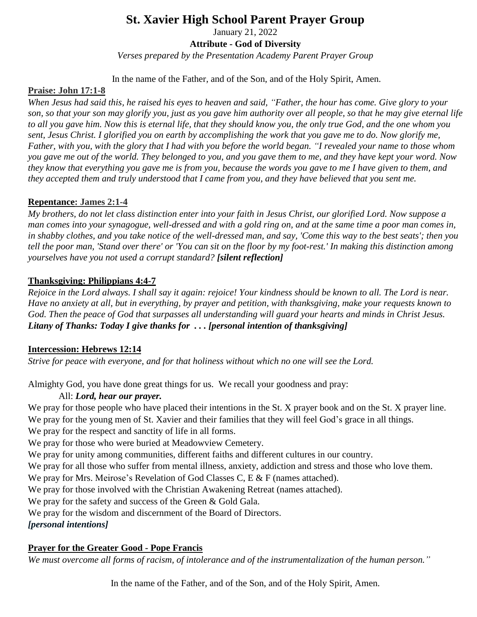# **St. Xavier High School Parent Prayer Group**

January 21, 2022

### **Attribute - God of Diversity**

*Verses prepared by the Presentation Academy Parent Prayer Group*

In the name of the Father, and of the Son, and of the Holy Spirit, Amen.

## **Praise: John 17:1-8**

When Jesus had said this, he raised his eyes to heaven and said, "Father, the hour has come. Give glory to your son, so that your son may glorify you, just as you gave him authority over all people, so that he may give eternal life to all you gave him. Now this is eternal life, that they should know you, the only true God, and the one whom you sent, Jesus Christ, I glorified you on earth by accomplishing the work that you gave me to do. Now glorify me, Father, with you, with the glory that I had with you before the world began. "I revealed your name to those whom you gave me out of the world. They belonged to you, and you gave them to me, and they have kept your word. Now they know that everything you gave me is from you, because the words you gave to me I have given to them, and they accepted them and truly understood that I came from you, and they have believed that you sent me.

## **Repentance: James 2:1-4**

My brothers, do not let class distinction enter into your [faith](https://www.catholic.org/encyclopedia/view.php?id=4554) in [Jesus](https://www.catholic.org/clife/jesus) Christ, our glorified Lord. Now suppose a [man](https://www.catholic.org/encyclopedia/view.php?id=7463) comes into your synagogue, well-dressed and with a gold ring on, and at the same [time](https://www.catholic.org/encyclopedia/view.php?id=11571) a poor man comes in, in shabby clothes, and you take notice of the well-dressed man, and say, 'Come this way to the best seats'; then you tell the poor man, 'Stand over there' or 'You can sit on the floor by my foot-rest.' In making this distinction among *yourselves have you not used a corrupt standard? [silent reflection]*

## **Thanksgiving: Philippians 4:4-7**

Rejoice in the Lord always. I shall say it again: rejoice! Your kindness should be known to all. The Lord is near. Have no anxiety at all, but in everything, by prayer and petition, with thanksgiving, make your requests known to God. Then the peace of God that surpasses all understanding will guard your hearts and minds in Christ Jesus. *Litany of Thanks: Today I give thanks for . . . [personal intention of thanksgiving]*

## **Intercession: Hebrews 12:14**

*Strive for peace with everyone, and for that holiness without which no one will see the Lord.*

Almighty God, you have done great things for us. We recall your goodness and pray:

## All: *Lord, hear our prayer.*

We pray for those people who have placed their intentions in the St. X prayer book and on the St. X prayer line. We pray for the young men of St. Xavier and their families that they will feel God's grace in all things.

We pray for the respect and sanctity of life in all forms.

We pray for those who were buried at Meadowview Cemetery.

We pray for unity among communities, different faiths and different cultures in our country.

We pray for all those who suffer from mental illness, anxiety, addiction and stress and those who love them.

We pray for Mrs. Meirose's Revelation of God Classes C, E & F (names attached).

We pray for those involved with the Christian Awakening Retreat (names attached).

We pray for the safety and success of the Green & Gold Gala.

We pray for the wisdom and discernment of the Board of Directors.

*[personal intentions]*

## **Prayer for the Greater Good - Pope Francis**

*We must overcome all forms of racism, of intolerance and of the instrumentalization of the human person."*

In the name of the Father, and of the Son, and of the Holy Spirit, Amen.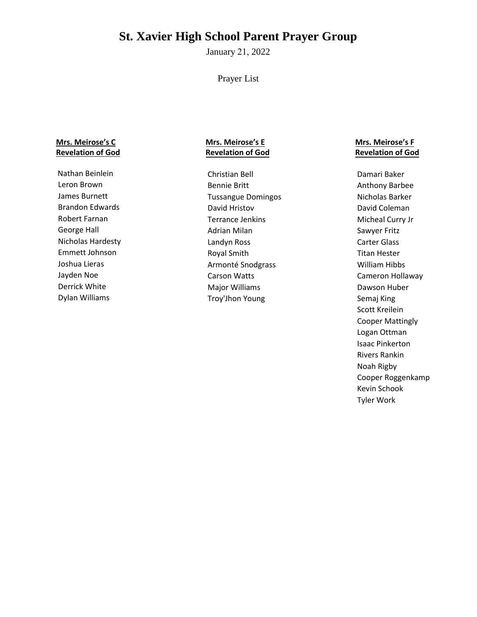# **St. Xavier High School Parent Prayer Group**

January 21, 2022

Prayer List

#### **Mrs. Meirose's C Revelation of God**

Nathan Beinlein Leron Brown James Burnett Brandon Edwards Robert Farnan George Hall Nicholas Hardesty Emmett Johnson Joshua Lieras Jayden Noe Derrick White Dylan Williams

### **Mrs. Meirose's E Revelation of God**

Christian Bell Bennie Britt Tussangue Domingos David Hristov Terrance Jenkins Adrian Milan Landyn Ross Royal Smith Armonté Snodgrass Carson Watts Major Williams Troy'Jhon Young

### **Mrs. Meirose's F Revelation of God**

Damari Baker Anthony Barbee Nicholas Barker David Coleman Micheal Curry Jr Sawyer Fritz Carter Glass Titan Hester William Hibbs Cameron Hollaway Dawson Huber Semaj King Scott Kreilein Cooper Mattingly Logan Ottman Isaac Pinkerton Rivers Rankin Noah Rigby Cooper Roggenkamp Kevin Schook Tyler Work